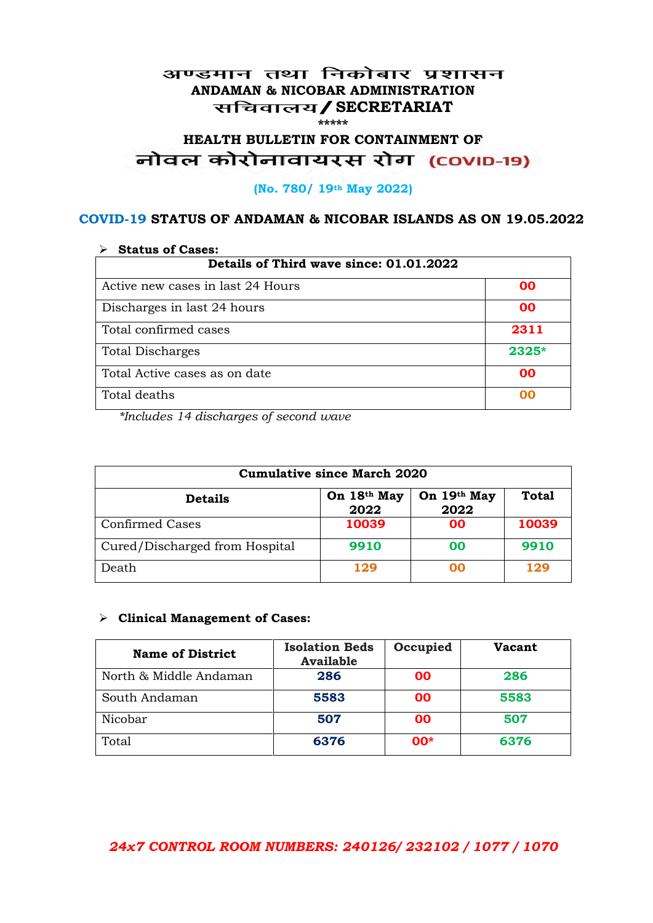#### अण्डमान तथा निकोबार प्रशासन **ANDAMAN & NICOBAR ADMINISTRATION /SECRETARIAT \*\*\*\*\***

# HEALTH BULLETIN FOR CONTAINMENT OF<br>बोवल कोरोनावायरस रोग (COVID-19)

#### **(No. 780/ 19th May 2022)**

#### **COVID-19 STATUS OF ANDAMAN & NICOBAR ISLANDS AS ON 19.05.2022**

| <b>Status of Cases:</b>                 |           |  |
|-----------------------------------------|-----------|--|
| Details of Third wave since: 01.01.2022 |           |  |
| Active new cases in last 24 Hours       | 00        |  |
| Discharges in last 24 hours             | 00        |  |
| Total confirmed cases                   | 2311      |  |
| <b>Total Discharges</b>                 | $2325*$   |  |
| Total Active cases as on date           | <b>OO</b> |  |
| Total deaths                            | OO        |  |

*\*Includes 14 discharges of second wave*

| <b>Cumulative since March 2020</b> |                     |                     |              |
|------------------------------------|---------------------|---------------------|--------------|
| <b>Details</b>                     | On 18th May<br>2022 | On 19th May<br>2022 | <b>Total</b> |
| <b>Confirmed Cases</b>             | 10039               | 00                  | 10039        |
| Cured/Discharged from Hospital     | 9910                | 00                  | 9910         |
| Death                              | 129                 | ററ                  | 129          |

#### **Clinical Management of Cases:**

| <b>Name of District</b> | <b>Isolation Beds</b><br><b>Available</b> | Occupied | <b>Vacant</b> |
|-------------------------|-------------------------------------------|----------|---------------|
| North & Middle Andaman  | 286                                       | 00       | 286           |
| South Andaman           | 5583                                      | 00       | 5583          |
| Nicobar                 | 507                                       | 00       | 507           |
| Total                   | 6376                                      | $00*$    | 6376          |

## *24x7 CONTROL ROOM NUMBERS: 240126/ 232102 / 1077 / 1070*